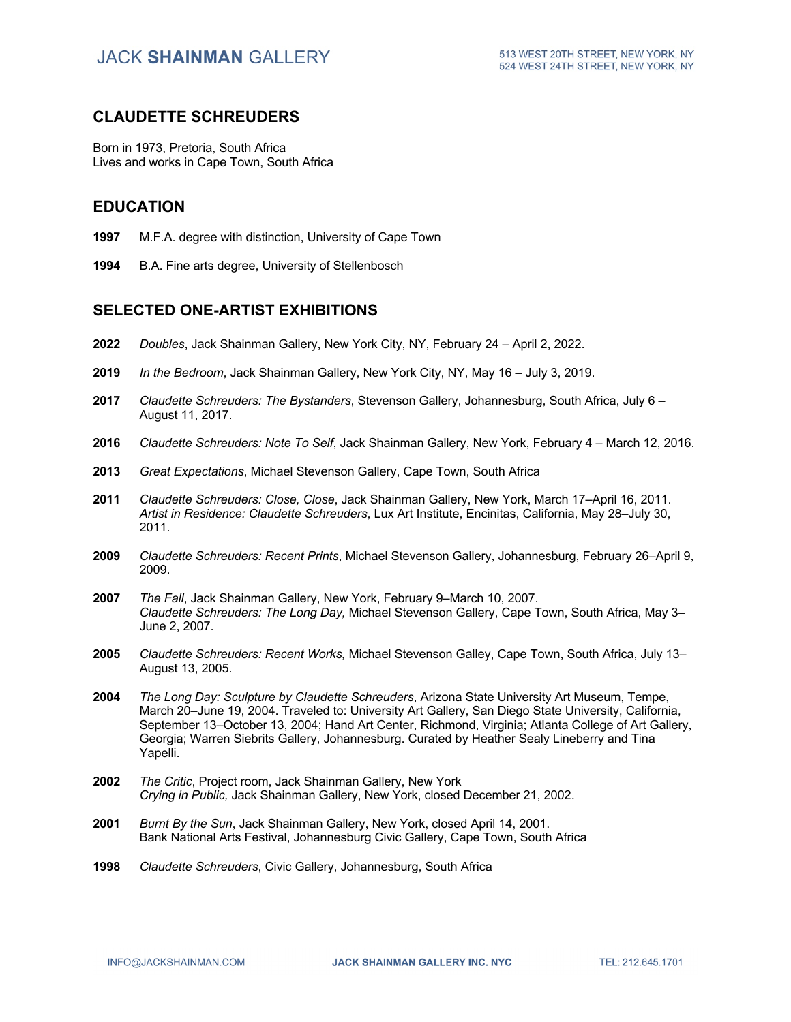# **CLAUDETTE SCHREUDERS**

Born in 1973, Pretoria, South Africa Lives and works in Cape Town, South Africa

### **EDUCATION**

- **1997** M.F.A. degree with distinction, University of Cape Town
- **1994** B.A. Fine arts degree, University of Stellenbosch

# **SELECTED ONE-ARTIST EXHIBITIONS**

- **2022** *Doubles*, Jack Shainman Gallery, New York City, NY, February 24 April 2, 2022.
- **2019** *In the Bedroom*, Jack Shainman Gallery, New York City, NY, May 16 July 3, 2019.
- **2017** *Claudette Schreuders: The Bystanders*, Stevenson Gallery, Johannesburg, South Africa, July 6 August 11, 2017.
- **2016** *Claudette Schreuders: Note To Self*, Jack Shainman Gallery, New York, February 4 March 12, 2016.
- **2013** *Great Expectations*, Michael Stevenson Gallery, Cape Town, South Africa
- **2011** *Claudette Schreuders: Close, Close*, Jack Shainman Gallery, New York, March 17–April 16, 2011. *Artist in Residence: Claudette Schreuders*, Lux Art Institute, Encinitas, California, May 28–July 30, 2011.
- **2009** *Claudette Schreuders: Recent Prints*, Michael Stevenson Gallery, Johannesburg, February 26–April 9, 2009.
- **2007** *The Fall*, Jack Shainman Gallery, New York, February 9–March 10, 2007. *Claudette Schreuders: The Long Day,* Michael Stevenson Gallery, Cape Town, South Africa, May 3– June 2, 2007.
- **2005** *Claudette Schreuders: Recent Works,* Michael Stevenson Galley, Cape Town, South Africa, July 13– August 13, 2005.
- **2004** *The Long Day: Sculpture by Claudette Schreuders*, Arizona State University Art Museum, Tempe, March 20–June 19, 2004. Traveled to: University Art Gallery, San Diego State University, California, September 13–October 13, 2004; Hand Art Center, Richmond, Virginia; Atlanta College of Art Gallery, Georgia; Warren Siebrits Gallery, Johannesburg. Curated by Heather Sealy Lineberry and Tina Yapelli.
- **2002** *The Critic*, Project room, Jack Shainman Gallery, New York *Crying in Public,* Jack Shainman Gallery, New York, closed December 21, 2002.
- **2001** *Burnt By the Sun*, Jack Shainman Gallery, New York, closed April 14, 2001. Bank National Arts Festival, Johannesburg Civic Gallery, Cape Town, South Africa
- **1998** *Claudette Schreuders*, Civic Gallery, Johannesburg, South Africa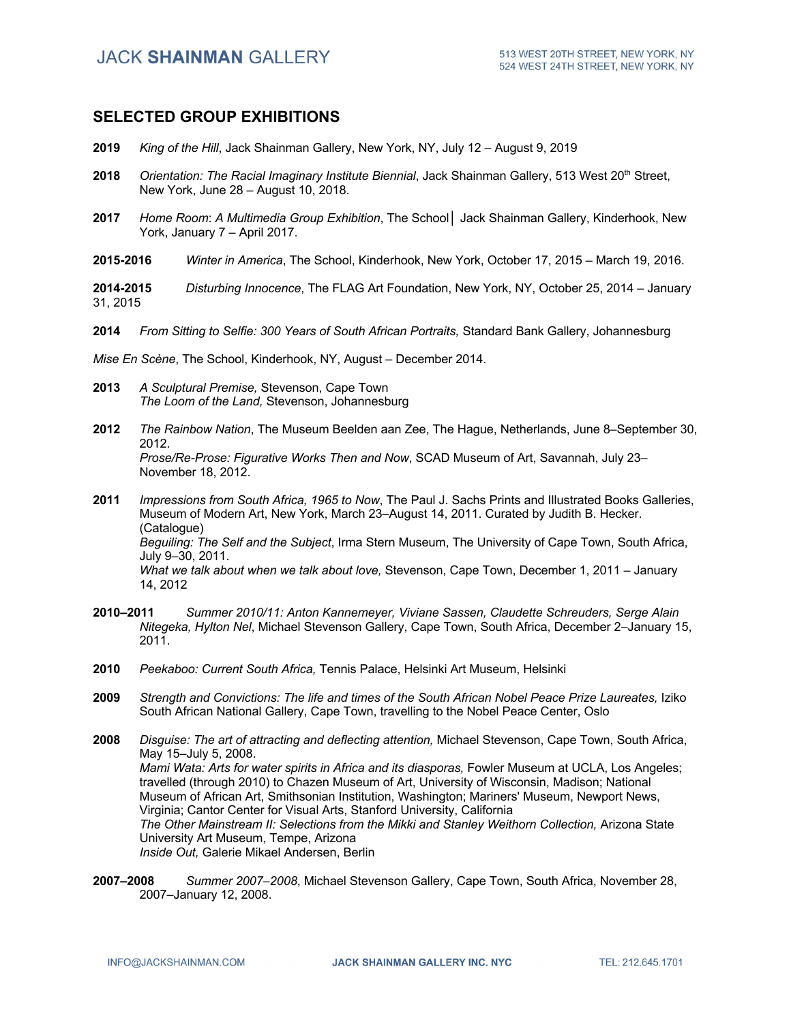# **JACK SHAINMAN GALLERY**

### **SELECTED GROUP EXHIBITIONS**

- **2019** *King of the Hill*, Jack Shainman Gallery, New York, NY, July 12 August 9, 2019
- **2018** *Orientation: The Racial Imaginary Institute Biennial*, Jack Shainman Gallery, 513 West 20<sup>th</sup> Street, New York, June 28 – August 10, 2018.
- **2017** *Home Room*: *A Multimedia Group Exhibition*, The School**│** Jack Shainman Gallery, Kinderhook, New York, January 7 – April 2017.
- **2015-2016** *Winter in America*, The School, Kinderhook, New York, October 17, 2015 March 19, 2016.

**2014-2015** *Disturbing Innocence*, The FLAG Art Foundation, New York, NY, October 25, 2014 – January 31, 2015

**2014** *From Sitting to Selfie: 300 Years of South African Portraits,* Standard Bank Gallery, Johannesburg

*Mise En Scène*, The School, Kinderhook, NY, August – December 2014.

- **2013** *A Sculptural Premise,* Stevenson, Cape Town *The Loom of the Land,* Stevenson, Johannesburg
- **2012** *The Rainbow Nation*, The Museum Beelden aan Zee, The Hague, Netherlands, June 8–September 30, 2012. *Prose/Re-Prose: Figurative Works Then and Now*, SCAD Museum of Art, Savannah, July 23– November 18, 2012.
- **2011** *Impressions from South Africa, 1965 to Now*, The Paul J. Sachs Prints and Illustrated Books Galleries, Museum of Modern Art, New York, March 23–August 14, 2011. Curated by Judith B. Hecker. (Catalogue) *Beguiling: The Self and the Subject*, Irma Stern Museum, The University of Cape Town, South Africa, July 9–30, 2011. *What we talk about when we talk about love,* Stevenson, Cape Town, December 1, 2011 – January 14, 2012
- **2010–2011** *Summer 2010/11: Anton Kannemeyer, Viviane Sassen, Claudette Schreuders, Serge Alain Nitegeka, Hylton Nel*, Michael Stevenson Gallery, Cape Town, South Africa, December 2–January 15, 2011.
- **2010** *Peekaboo: Current South Africa,* Tennis Palace, Helsinki Art Museum, Helsinki
- **2009** *Strength and Convictions: The life and times of the South African Nobel Peace Prize Laureates,* Iziko South African National Gallery, Cape Town, travelling to the Nobel Peace Center, Oslo
- **2008** *Disguise: The art of attracting and deflecting attention,* Michael Stevenson, Cape Town, South Africa, May 15–July 5, 2008. *Mami Wata: Arts for water spirits in Africa and its diasporas,* Fowler Museum at UCLA, Los Angeles; travelled (through 2010) to Chazen Museum of Art, University of Wisconsin, Madison; National Museum of African Art, Smithsonian Institution, Washington; Mariners' Museum, Newport News, Virginia; Cantor Center for Visual Arts, Stanford University, California *The Other Mainstream II: Selections from the Mikki and Stanley Weithorn Collection,* Arizona State University Art Museum, Tempe, Arizona *Inside Out,* Galerie Mikael Andersen, Berlin
- **2007–2008** *Summer 2007–2008*, Michael Stevenson Gallery, Cape Town, South Africa, November 28, 2007–January 12, 2008.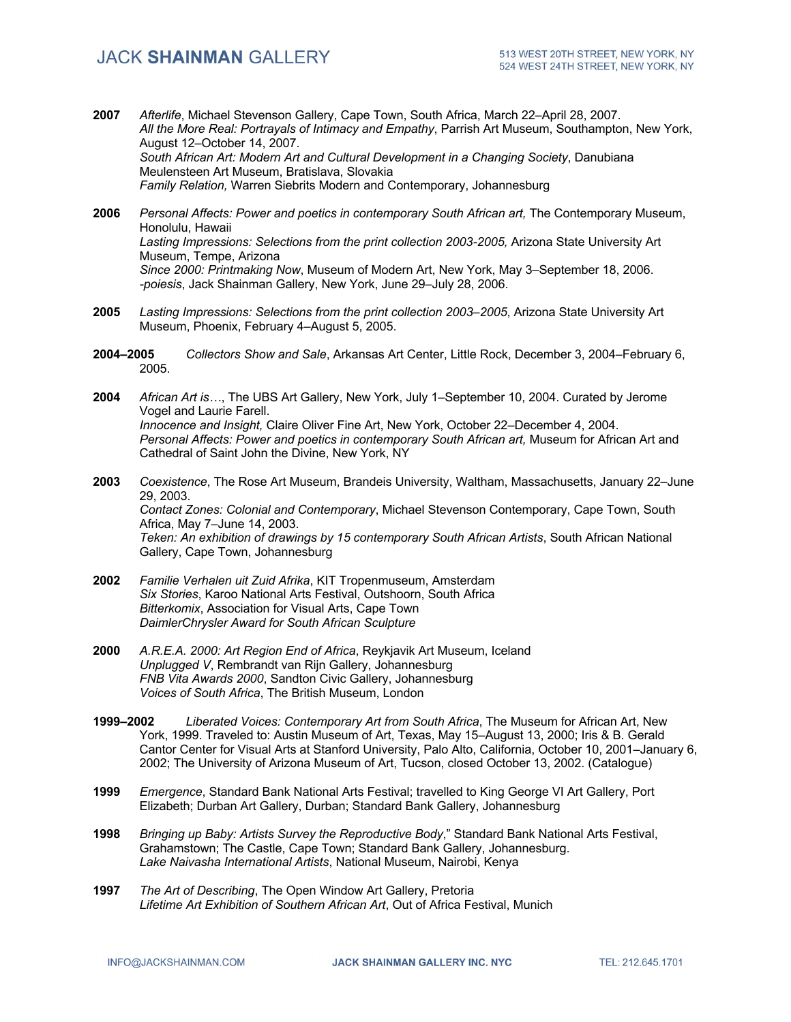- **2007** *Afterlife*, Michael Stevenson Gallery, Cape Town, South Africa, March 22–April 28, 2007. *All the More Real: Portrayals of Intimacy and Empathy*, Parrish Art Museum, Southampton, New York, August 12–October 14, 2007. *South African Art: Modern Art and Cultural Development in a Changing Society*, Danubiana Meulensteen Art Museum, Bratislava, Slovakia *Family Relation,* Warren Siebrits Modern and Contemporary, Johannesburg
- **2006** *Personal Affects: Power and poetics in contemporary South African art,* The Contemporary Museum, Honolulu, Hawaii *Lasting Impressions: Selections from the print collection 2003-2005,* Arizona State University Art Museum, Tempe, Arizona *Since 2000: Printmaking Now*, Museum of Modern Art, New York, May 3–September 18, 2006. *-poiesis*, Jack Shainman Gallery, New York, June 29–July 28, 2006.
- **2005** *Lasting Impressions: Selections from the print collection 2003–2005*, Arizona State University Art Museum, Phoenix, February 4–August 5, 2005.
- **2004–2005** *Collectors Show and Sale*, Arkansas Art Center, Little Rock, December 3, 2004–February 6, 2005.
- **2004** *African Art is…*, The UBS Art Gallery, New York, July 1–September 10, 2004. Curated by Jerome Vogel and Laurie Farell. *Innocence and Insight,* Claire Oliver Fine Art, New York, October 22–December 4, 2004. *Personal Affects: Power and poetics in contemporary South African art,* Museum for African Art and Cathedral of Saint John the Divine, New York, NY
- **2003** *Coexistence*, The Rose Art Museum, Brandeis University, Waltham, Massachusetts, January 22–June 29, 2003. *Contact Zones: Colonial and Contemporary*, Michael Stevenson Contemporary, Cape Town, South Africa, May 7–June 14, 2003. *Teken: An exhibition of drawings by 15 contemporary South African Artists*, South African National Gallery, Cape Town, Johannesburg
- **2002** *Familie Verhalen uit Zuid Afrika*, KIT Tropenmuseum, Amsterdam *Six Stories*, Karoo National Arts Festival, Outshoorn, South Africa *Bitterkomix*, Association for Visual Arts, Cape Town *DaimlerChrysler Award for South African Sculpture*
- **2000** *A.R.E.A. 2000: Art Region End of Africa*, Reykjavik Art Museum, Iceland *Unplugged V*, Rembrandt van Rijn Gallery, Johannesburg *FNB Vita Awards 2000*, Sandton Civic Gallery, Johannesburg *Voices of South Africa*, The British Museum, London
- **1999–2002** *Liberated Voices: Contemporary Art from South Africa*, The Museum for African Art, New York, 1999. Traveled to: Austin Museum of Art, Texas, May 15–August 13, 2000; Iris & B. Gerald Cantor Center for Visual Arts at Stanford University, Palo Alto, California, October 10, 2001–January 6, 2002; The University of Arizona Museum of Art, Tucson, closed October 13, 2002. (Catalogue)
- **1999** *Emergence*, Standard Bank National Arts Festival; travelled to King George VI Art Gallery, Port Elizabeth; Durban Art Gallery, Durban; Standard Bank Gallery, Johannesburg
- **1998** *Bringing up Baby: Artists Survey the Reproductive Body*," Standard Bank National Arts Festival, Grahamstown; The Castle, Cape Town; Standard Bank Gallery, Johannesburg. *Lake Naivasha International Artists*, National Museum, Nairobi, Kenya
- **1997** *The Art of Describing*, The Open Window Art Gallery, Pretoria *Lifetime Art Exhibition of Southern African Art*, Out of Africa Festival, Munich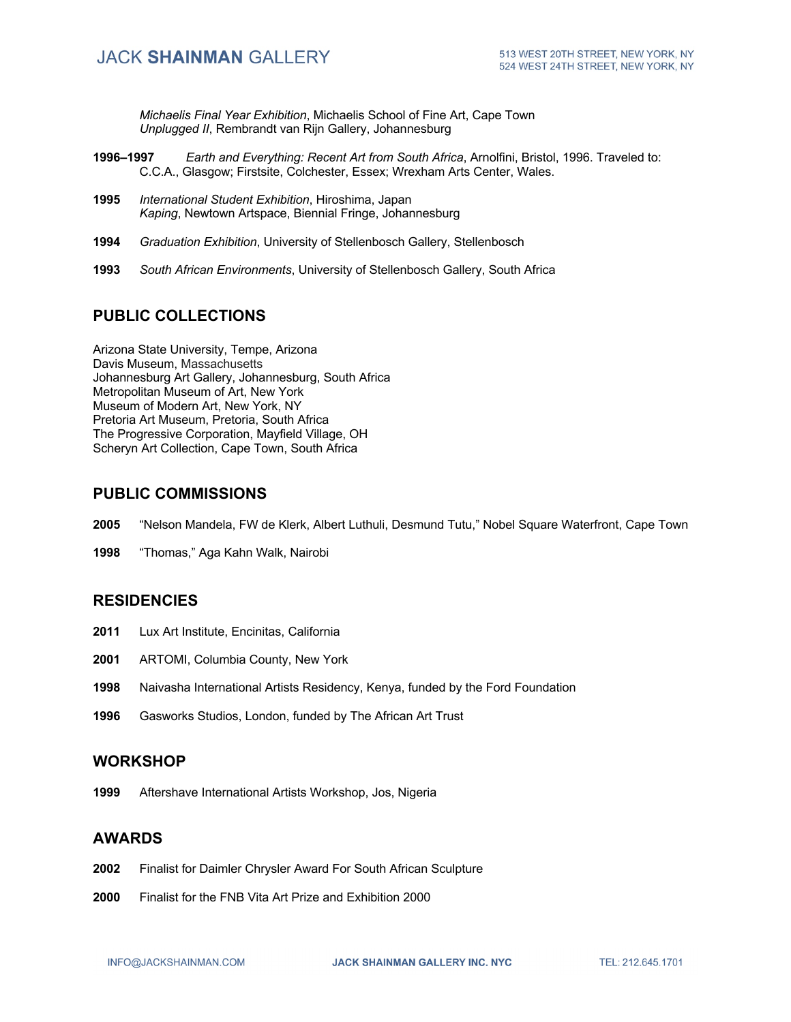*Michaelis Final Year Exhibition*, Michaelis School of Fine Art, Cape Town *Unplugged II*, Rembrandt van Rijn Gallery, Johannesburg

- **1996–1997** *Earth and Everything: Recent Art from South Africa*, Arnolfini, Bristol, 1996. Traveled to: C.C.A., Glasgow; Firstsite, Colchester, Essex; Wrexham Arts Center, Wales.
- **1995** *International Student Exhibition*, Hiroshima, Japan *Kaping*, Newtown Artspace, Biennial Fringe, Johannesburg
- **1994** *Graduation Exhibition*, University of Stellenbosch Gallery, Stellenbosch
- **1993** *South African Environments*, University of Stellenbosch Gallery, South Africa

### **PUBLIC COLLECTIONS**

Arizona State University, Tempe, Arizona Davis Museum, Massachusetts Johannesburg Art Gallery, Johannesburg, South Africa Metropolitan Museum of Art, New York Museum of Modern Art, New York, NY Pretoria Art Museum, Pretoria, South Africa The Progressive Corporation, Mayfield Village, OH Scheryn Art Collection, Cape Town, South Africa

#### **PUBLIC COMMISSIONS**

- **2005** "Nelson Mandela, FW de Klerk, Albert Luthuli, Desmund Tutu," Nobel Square Waterfront, Cape Town
- **1998** "Thomas," Aga Kahn Walk, Nairobi

#### **RESIDENCIES**

- **2011** Lux Art Institute, Encinitas, California
- **2001** ARTOMI, Columbia County, New York
- **1998** Naivasha International Artists Residency, Kenya, funded by the Ford Foundation
- **1996** Gasworks Studios, London, funded by The African Art Trust

#### **WORKSHOP**

**1999** Aftershave International Artists Workshop, Jos, Nigeria

#### **AWARDS**

- **2002** Finalist for Daimler Chrysler Award For South African Sculpture
- **2000** Finalist for the FNB Vita Art Prize and Exhibition 2000